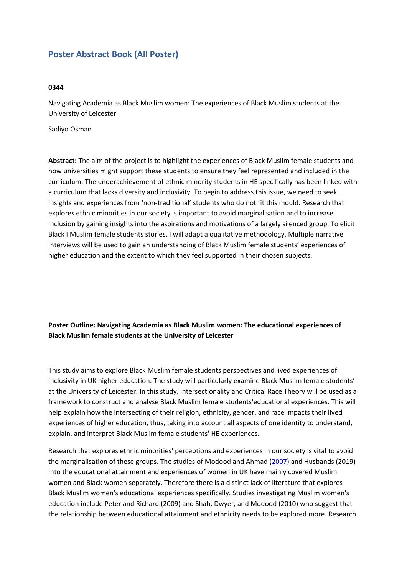## **Poster Abstract Book (All Poster)**

## **0344**

Navigating Academia as Black Muslim women: The experiences of Black Muslim students at the University of Leicester

Sadiyo Osman

**Abstract:** The aim of the project is to highlight the experiences of Black Muslim female students and how universities might support these students to ensure they feel represented and included in the curriculum. The underachievement of ethnic minority students in HE specifically has been linked with <sup>a</sup> curriculum that lacks diversity and inclusivity. To begin to address this issue, we need to seek insights and experiences from 'non-traditional' students who do not fit this mould. Research that explores ethnic minorities in our society is important to avoid marginalisation and to increase inclusion by gaining insights into the aspirations and motivations of <sup>a</sup> largely silenced group. To elicit Black I Muslim female students stories, I will adapt <sup>a</sup> qualitative methodology. Multiple narrative interviews will be used to gain an understanding of Black Muslim female students' experiences of higher education and the extent to which they feel supported in their chosen subjects.

**Poster Outline: Navigating Academia as Black Muslim women: The educational experiences of Black Muslim female students at the University of Leicester**

This study aims to explore Black Muslim female students perspectives and lived experiences of inclusivity in UK higher education. The study will particularly examine Black Muslim female students' at the University of Leicester. In this study, intersectionality and Critical Race Theory will be used as <sup>a</sup> framework to construct and analyse Black Muslim female students'educational experiences. This will help explain how the intersecting of their religion, ethnicity, gender, and race impacts their lived experiences of higher education, thus, taking into account all aspects of one identity to understand, explain, and interpret Black Muslim female students' HE experiences.

Research that explores ethnic minorities' perceptions and experiences in our society is vital to avoid the marginalisation of these groups. The studies of Modood and Ahmad ([2007](https://www.tandfonline.com/doi/full/10.1080/0966369X.2017.1298571)) and Husbands (2019) into the educational attainment and experiences of women in UK have mainly covered Muslim women and Black women separately. Therefore there is <sup>a</sup> distinct lack of literature that explores Black Muslim women's educational experiences specifically. Studies investigating Muslim women's education include Peter and Richard (2009) and Shah, Dwyer, and Modood (2010) who suggest that the relationship between educational attainment and ethnicity needs to be explored more. Research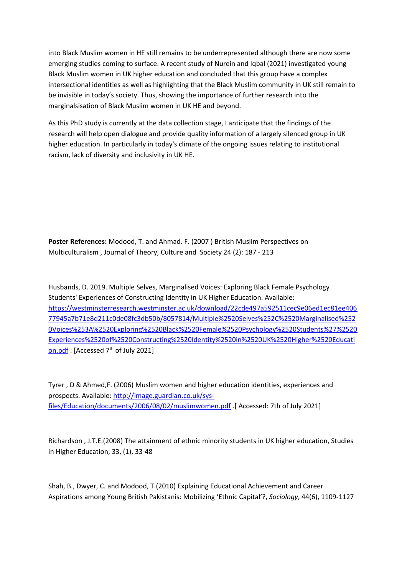into Black Muslim women in HE still remains to be underrepresented although there are now some emerging studies coming to surface. A recent study of Nurein and Iqbal (2021) investigated young Black Muslim women in UK higher education and concluded that this group have <sup>a</sup> complex intersectional identities as well as highlighting that the Black Muslim community in UK still remain to be invisible in today's society. Thus, showing the importance of further research into the marginalsisation of Black Muslim women in UK HE and beyond.

As this PhD study is currently at the data collection stage, I anticipate that the findings of the research will help open dialogue and provide quality information of <sup>a</sup> largely silenced group in UK higher education. In particularly in today's climate of the ongoing issues relating to institutional racism, lack of diversity and inclusivity in UK HE.

**Poster References:** Modood, T. and Ahmad. F. (2007 ) British Muslim Perspectives on Multiculturalism , Journal of Theory, Culture and Society 24 (2): 187 - 213

Husbands, D. 2019. Multiple Selves, Marginalised Voices: Exploring Black Female Psychology Students' Experiences of Constructing Identity in UK Higher Education. Available: [https://westminsterresearch.westminster.ac.uk/download/22cde497a592511cec9e06ed1ec81ee406](https://westminsterresearch.westminster.ac.uk/download/22cde497a592511cec9e06ed1ec81ee40677945a7b71e8d211c0de08fc3db50b/8057814/Multiple%20Selves%2C%20Marginalised%20Voices%3A%20Exploring%20Black%20Female%20Psychology%20Students%27%20Experiences%20of%20Constructing%20Identity%20in%20UK%20Higher%20Education.pdf) [77945a7b71e8d211c0de08fc3db50b/8057814/Multiple%2520Selves%252C%2520Marginalised%252](https://westminsterresearch.westminster.ac.uk/download/22cde497a592511cec9e06ed1ec81ee40677945a7b71e8d211c0de08fc3db50b/8057814/Multiple%20Selves%2C%20Marginalised%20Voices%3A%20Exploring%20Black%20Female%20Psychology%20Students%27%20Experiences%20of%20Constructing%20Identity%20in%20UK%20Higher%20Education.pdf) [0Voices%253A%2520Exploring%2520Black%2520Female%2520Psychology%2520Students%27%2520](https://westminsterresearch.westminster.ac.uk/download/22cde497a592511cec9e06ed1ec81ee40677945a7b71e8d211c0de08fc3db50b/8057814/Multiple%20Selves%2C%20Marginalised%20Voices%3A%20Exploring%20Black%20Female%20Psychology%20Students%27%20Experiences%20of%20Constructing%20Identity%20in%20UK%20Higher%20Education.pdf) [Experiences%2520of%2520Constructing%2520Identity%2520in%2520UK%2520Higher%2520Educati](https://westminsterresearch.westminster.ac.uk/download/22cde497a592511cec9e06ed1ec81ee40677945a7b71e8d211c0de08fc3db50b/8057814/Multiple%20Selves%2C%20Marginalised%20Voices%3A%20Exploring%20Black%20Female%20Psychology%20Students%27%20Experiences%20of%20Constructing%20Identity%20in%20UK%20Higher%20Education.pdf) [on.pdf](https://westminsterresearch.westminster.ac.uk/download/22cde497a592511cec9e06ed1ec81ee40677945a7b71e8d211c0de08fc3db50b/8057814/Multiple%20Selves%2C%20Marginalised%20Voices%3A%20Exploring%20Black%20Female%20Psychology%20Students%27%20Experiences%20of%20Constructing%20Identity%20in%20UK%20Higher%20Education.pdf) . [Accessed 7<sup>th</sup> of July 2021]

Tyrer , D & Ahmed,F. (2006) Muslim women and higher education identities, experiences and prospects. Available: [http://image.guardian.co.uk/sys](http://image.guardian.co.uk/sys-files/Education/documents/2006/08/02/muslimwomen.pdf)[files/Education/documents/2006/08/02/muslimwomen.pdf](http://image.guardian.co.uk/sys-files/Education/documents/2006/08/02/muslimwomen.pdf) .[ Accessed: 7th of July 2021]

Richardson , J.T.E.(2008) The attainment of ethnic minority students in UK higher education, Studies in Higher Education, 33, (1), 33-48

Shah, B., Dwyer, C. and Modood, T.(2010) Explaining Educational Achievement and Career Aspirations among Young British Pakistanis: Mobilizing 'Ethnic Capital'?, *Sociology*, 44(6), 1109-1127